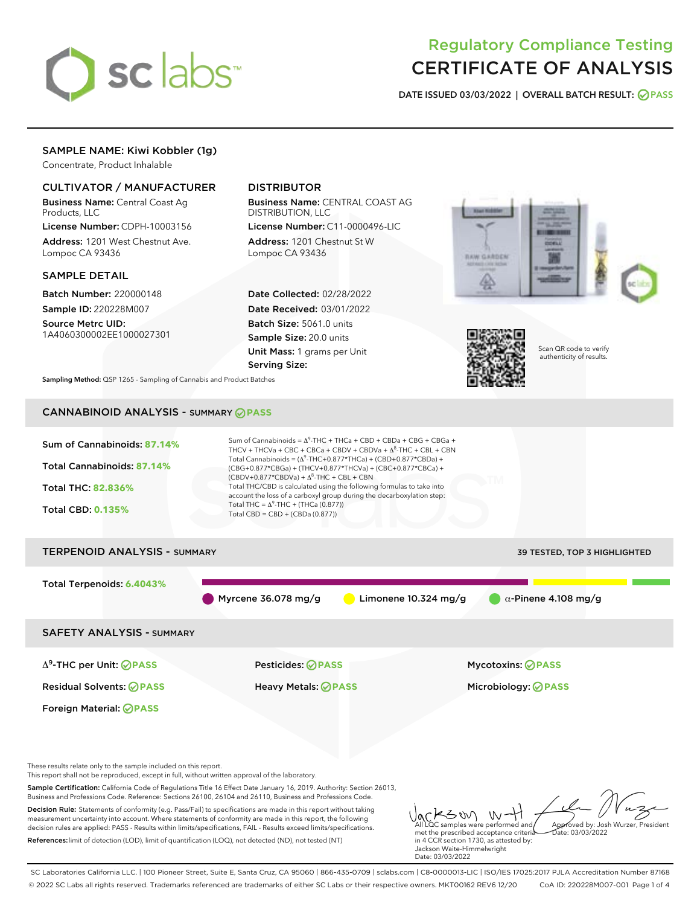

# Regulatory Compliance Testing CERTIFICATE OF ANALYSIS

DATE ISSUED 03/03/2022 | OVERALL BATCH RESULT: @ PASS

# SAMPLE NAME: Kiwi Kobbler (1g)

Concentrate, Product Inhalable

# CULTIVATOR / MANUFACTURER

Business Name: Central Coast Ag Products, LLC

License Number: CDPH-10003156 Address: 1201 West Chestnut Ave. Lompoc CA 93436

#### SAMPLE DETAIL

Batch Number: 220000148 Sample ID: 220228M007

Source Metrc UID: 1A4060300002EE1000027301

# DISTRIBUTOR

Business Name: CENTRAL COAST AG DISTRIBUTION, LLC

License Number: C11-0000496-LIC Address: 1201 Chestnut St W Lompoc CA 93436

Date Collected: 02/28/2022 Date Received: 03/01/2022 Batch Size: 5061.0 units Sample Size: 20.0 units Unit Mass: 1 grams per Unit Serving Size:





Scan QR code to verify authenticity of results.

Sampling Method: QSP 1265 - Sampling of Cannabis and Product Batches

# CANNABINOID ANALYSIS - SUMMARY **PASS**



SC Laboratories California LLC. | 100 Pioneer Street, Suite E, Santa Cruz, CA 95060 | 866-435-0709 | sclabs.com | C8-0000013-LIC | ISO/IES 17025:2017 PJLA Accreditation Number 87168 © 2022 SC Labs all rights reserved. Trademarks referenced are trademarks of either SC Labs or their respective owners. MKT00162 REV6 12/20 CoA ID: 220228M007-001 Page 1 of 4

Date: 03/03/2022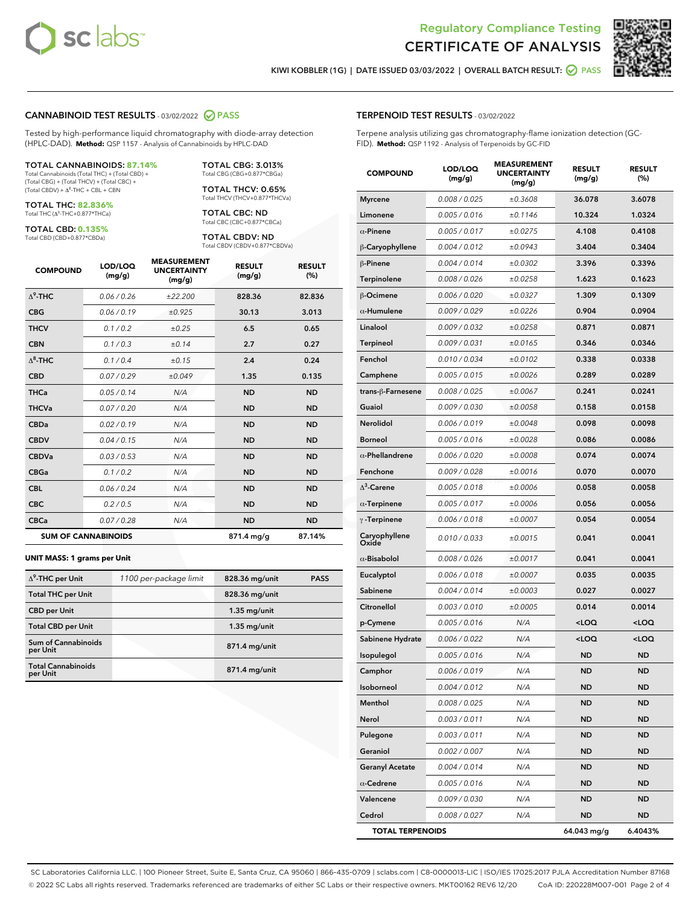



KIWI KOBBLER (1G) | DATE ISSUED 03/03/2022 | OVERALL BATCH RESULT: @ PASS

#### CANNABINOID TEST RESULTS - 03/02/2022 2 PASS

Tested by high-performance liquid chromatography with diode-array detection (HPLC-DAD). **Method:** QSP 1157 - Analysis of Cannabinoids by HPLC-DAD

#### TOTAL CANNABINOIDS: **87.14%**

Total Cannabinoids (Total THC) + (Total CBD) + (Total CBG) + (Total THCV) + (Total CBC) +  $(Total CBDV) +  $\Delta^8$ -THC + CBL + CBN$ 

TOTAL THC: **82.836%** Total THC (Δ<sup>9</sup> -THC+0.877\*THCa)

TOTAL CBD: **0.135%**

Total CBD (CBD+0.877\*CBDa)

TOTAL CBG: 3.013% Total CBG (CBG+0.877\*CBGa)

TOTAL THCV: 0.65% Total THCV (THCV+0.877\*THCVa)

TOTAL CBC: ND Total CBC (CBC+0.877\*CBCa)

TOTAL CBDV: ND Total CBDV (CBDV+0.877\*CBDVa)

| <b>COMPOUND</b>  | LOD/LOQ<br>(mg/g)          | <b>MEASUREMENT</b><br><b>UNCERTAINTY</b><br>(mg/g) | <b>RESULT</b><br>(mg/g) | <b>RESULT</b><br>(%) |
|------------------|----------------------------|----------------------------------------------------|-------------------------|----------------------|
| $\Lambda^9$ -THC | 0.06/0.26                  | ±22.200                                            | 828.36                  | 82.836               |
| <b>CBG</b>       | 0.06/0.19                  | ±0.925                                             | 30.13                   | 3.013                |
| <b>THCV</b>      | 0.1/0.2                    | ±0.25                                              | 6.5                     | 0.65                 |
| <b>CBN</b>       | 0.1/0.3                    | ±0.14                                              | 2.7                     | 0.27                 |
| $\Delta^8$ -THC  | 0.1/0.4                    | ±0.15                                              | 2.4                     | 0.24                 |
| <b>CBD</b>       | 0.07/0.29                  | ±0.049                                             | 1.35                    | 0.135                |
| <b>THCa</b>      | 0.05/0.14                  | N/A                                                | <b>ND</b>               | <b>ND</b>            |
| <b>THCVa</b>     | 0.07/0.20                  | N/A                                                | <b>ND</b>               | <b>ND</b>            |
| <b>CBDa</b>      | 0.02/0.19                  | N/A                                                | <b>ND</b>               | <b>ND</b>            |
| <b>CBDV</b>      | 0.04 / 0.15                | N/A                                                | <b>ND</b>               | <b>ND</b>            |
| <b>CBDVa</b>     | 0.03/0.53                  | N/A                                                | <b>ND</b>               | <b>ND</b>            |
| <b>CBGa</b>      | 0.1/0.2                    | N/A                                                | <b>ND</b>               | <b>ND</b>            |
| <b>CBL</b>       | 0.06 / 0.24                | N/A                                                | <b>ND</b>               | <b>ND</b>            |
| <b>CBC</b>       | 0.2 / 0.5                  | N/A                                                | <b>ND</b>               | <b>ND</b>            |
| <b>CBCa</b>      | 0.07/0.28                  | N/A                                                | <b>ND</b>               | <b>ND</b>            |
|                  | <b>SUM OF CANNABINOIDS</b> |                                                    | 871.4 mg/g              | 87.14%               |

#### **UNIT MASS: 1 grams per Unit**

| $\Delta^9$ -THC per Unit               | 1100 per-package limit | 828.36 mg/unit  | <b>PASS</b> |
|----------------------------------------|------------------------|-----------------|-------------|
| <b>Total THC per Unit</b>              |                        | 828.36 mg/unit  |             |
| <b>CBD per Unit</b>                    |                        | $1.35$ mg/unit  |             |
| <b>Total CBD per Unit</b>              |                        | $1.35$ mg/unit  |             |
| <b>Sum of Cannabinoids</b><br>per Unit |                        | 871.4 mg/unit   |             |
| <b>Total Cannabinoids</b><br>per Unit  |                        | $871.4$ mg/unit |             |

| <b>TERPENOID TEST RESULTS - 03/02/2022</b> |  |
|--------------------------------------------|--|
|--------------------------------------------|--|

Terpene analysis utilizing gas chromatography-flame ionization detection (GC-FID). **Method:** QSP 1192 - Analysis of Terpenoids by GC-FID

| <b>COMPOUND</b>         | LOD/LOQ<br>(mg/g) | <b>MEASUREMENT</b><br><b>UNCERTAINTY</b><br>(mg/g) | <b>RESULT</b><br>(mg/g)                         | <b>RESULT</b><br>(%) |
|-------------------------|-------------------|----------------------------------------------------|-------------------------------------------------|----------------------|
| <b>Myrcene</b>          | 0.008 / 0.025     | ±0.3608                                            | 36.078                                          | 3.6078               |
| Limonene                | 0.005 / 0.016     | ±0.1146                                            | 10.324                                          | 1.0324               |
| $\alpha$ -Pinene        | 0.005 / 0.017     | ±0.0275                                            | 4.108                                           | 0.4108               |
| β-Caryophyllene         | 0.004 / 0.012     | ±0.0943                                            | 3.404                                           | 0.3404               |
| β-Pinene                | 0.004 / 0.014     | ±0.0302                                            | 3.396                                           | 0.3396               |
| Terpinolene             | 0.008 / 0.026     | ±0.0258                                            | 1.623                                           | 0.1623               |
| <b>B-Ocimene</b>        | 0.006 / 0.020     | ±0.0327                                            | 1.309                                           | 0.1309               |
| $\alpha$ -Humulene      | 0.009 / 0.029     | ±0.0226                                            | 0.904                                           | 0.0904               |
| Linalool                | 0.009 / 0.032     | ±0.0258                                            | 0.871                                           | 0.0871               |
| Terpineol               | 0.009 / 0.031     | ±0.0165                                            | 0.346                                           | 0.0346               |
| Fenchol                 | 0.010 / 0.034     | ±0.0102                                            | 0.338                                           | 0.0338               |
| Camphene                | 0.005 / 0.015     | ±0.0026                                            | 0.289                                           | 0.0289               |
| trans-ß-Farnesene       | 0.008 / 0.025     | ±0.0067                                            | 0.241                                           | 0.0241               |
| Guaiol                  | 0.009 / 0.030     | ±0.0058                                            | 0.158                                           | 0.0158               |
| Nerolidol               | 0.006 / 0.019     | ±0.0048                                            | 0.098                                           | 0.0098               |
| <b>Borneol</b>          | 0.005 / 0.016     | ±0.0028                                            | 0.086                                           | 0.0086               |
| $\alpha$ -Phellandrene  | 0.006 / 0.020     | ±0.0008                                            | 0.074                                           | 0.0074               |
| Fenchone                | 0.009 / 0.028     | ±0.0016                                            | 0.070                                           | 0.0070               |
| $\Delta^3$ -Carene      | 0.005 / 0.018     | ±0.0006                                            | 0.058                                           | 0.0058               |
| $\alpha$ -Terpinene     | 0.005 / 0.017     | ±0.0006                                            | 0.056                                           | 0.0056               |
| $\gamma$ -Terpinene     | 0.006 / 0.018     | ±0.0007                                            | 0.054                                           | 0.0054               |
| Caryophyllene<br>Oxide  | 0.010 / 0.033     | ±0.0015                                            | 0.041                                           | 0.0041               |
| $\alpha$ -Bisabolol     | 0.008 / 0.026     | ±0.0017                                            | 0.041                                           | 0.0041               |
| Eucalyptol              | 0.006 / 0.018     | ±0.0007                                            | 0.035                                           | 0.0035               |
| Sabinene                | 0.004 / 0.014     | ±0.0003                                            | 0.027                                           | 0.0027               |
| Citronellol             | 0.003 / 0.010     | ±0.0005                                            | 0.014                                           | 0.0014               |
| p-Cymene                | 0.005 / 0.016     | N/A                                                | <loq< th=""><th><loq< th=""></loq<></th></loq<> | <loq< th=""></loq<>  |
| Sabinene Hydrate        | 0.006 / 0.022     | N/A                                                | <loq< th=""><th><loq< th=""></loq<></th></loq<> | <loq< th=""></loq<>  |
| Isopulegol              | 0.005 / 0.016     | N/A                                                | <b>ND</b>                                       | <b>ND</b>            |
| Camphor                 | 0.006 / 0.019     | N/A                                                | <b>ND</b>                                       | <b>ND</b>            |
| Isoborneol              | 0.004 / 0.012     | N/A                                                | ND                                              | ND                   |
| Menthol                 | 0.008 / 0.025     | N/A                                                | <b>ND</b>                                       | ND                   |
| Nerol                   | 0.003 / 0.011     | N/A                                                | <b>ND</b>                                       | <b>ND</b>            |
| Pulegone                | 0.003 / 0.011     | N/A                                                | ND                                              | ND                   |
| Geraniol                | 0.002 / 0.007     | N/A                                                | ND                                              | ND                   |
| <b>Geranyl Acetate</b>  | 0.004 / 0.014     | N/A                                                | <b>ND</b>                                       | ND                   |
| $\alpha$ -Cedrene       | 0.005 / 0.016     | N/A                                                | ND                                              | ND                   |
| Valencene               | 0.009 / 0.030     | N/A                                                | <b>ND</b>                                       | ND                   |
| Cedrol                  | 0.008 / 0.027     | N/A                                                | <b>ND</b>                                       | <b>ND</b>            |
| <b>TOTAL TERPENOIDS</b> |                   |                                                    | 64.043 mg/g                                     | 6.4043%              |

SC Laboratories California LLC. | 100 Pioneer Street, Suite E, Santa Cruz, CA 95060 | 866-435-0709 | sclabs.com | C8-0000013-LIC | ISO/IES 17025:2017 PJLA Accreditation Number 87168 © 2022 SC Labs all rights reserved. Trademarks referenced are trademarks of either SC Labs or their respective owners. MKT00162 REV6 12/20 CoA ID: 220228M007-001 Page 2 of 4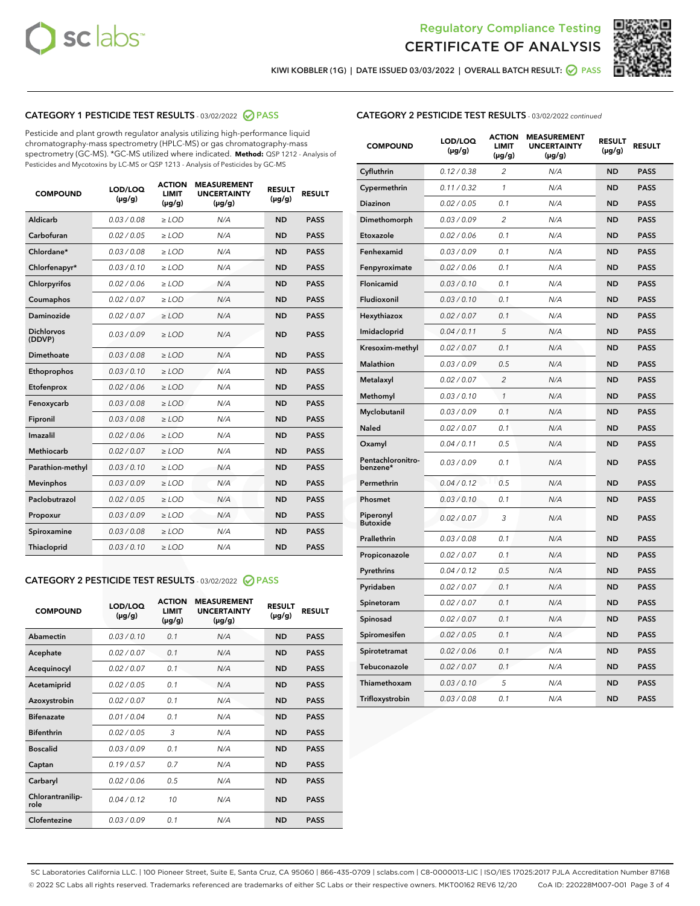



KIWI KOBBLER (1G) | DATE ISSUED 03/03/2022 | OVERALL BATCH RESULT:  $\bigcirc$  PASS

# CATEGORY 1 PESTICIDE TEST RESULTS - 03/02/2022 2 PASS

Pesticide and plant growth regulator analysis utilizing high-performance liquid chromatography-mass spectrometry (HPLC-MS) or gas chromatography-mass spectrometry (GC-MS). \*GC-MS utilized where indicated. **Method:** QSP 1212 - Analysis of Pesticides and Mycotoxins by LC-MS or QSP 1213 - Analysis of Pesticides by GC-MS

| <b>COMPOUND</b>             | LOD/LOQ<br>$(\mu g/g)$ | <b>ACTION</b><br><b>LIMIT</b><br>$(\mu g/g)$ | <b>MEASUREMENT</b><br><b>UNCERTAINTY</b><br>$(\mu g/g)$ | <b>RESULT</b><br>$(\mu g/g)$ | <b>RESULT</b> |
|-----------------------------|------------------------|----------------------------------------------|---------------------------------------------------------|------------------------------|---------------|
| Aldicarb                    | 0.03 / 0.08            | $\ge$ LOD                                    | N/A                                                     | <b>ND</b>                    | <b>PASS</b>   |
| Carbofuran                  | 0.02 / 0.05            | $>$ LOD                                      | N/A                                                     | <b>ND</b>                    | <b>PASS</b>   |
| Chlordane*                  | 0.03 / 0.08            | $\ge$ LOD                                    | N/A                                                     | <b>ND</b>                    | <b>PASS</b>   |
| Chlorfenapyr*               | 0.03 / 0.10            | $\ge$ LOD                                    | N/A                                                     | <b>ND</b>                    | <b>PASS</b>   |
| Chlorpyrifos                | 0.02/0.06              | $>$ LOD                                      | N/A                                                     | <b>ND</b>                    | <b>PASS</b>   |
| Coumaphos                   | 0.02 / 0.07            | $\ge$ LOD                                    | N/A                                                     | <b>ND</b>                    | <b>PASS</b>   |
| Daminozide                  | 0.02 / 0.07            | $\ge$ LOD                                    | N/A                                                     | <b>ND</b>                    | <b>PASS</b>   |
| <b>Dichlorvos</b><br>(DDVP) | 0.03/0.09              | $\ge$ LOD                                    | N/A                                                     | <b>ND</b>                    | <b>PASS</b>   |
| Dimethoate                  | 0.03/0.08              | $>$ LOD                                      | N/A                                                     | <b>ND</b>                    | <b>PASS</b>   |
| Ethoprophos                 | 0.03/0.10              | $\ge$ LOD                                    | N/A                                                     | <b>ND</b>                    | <b>PASS</b>   |
| Etofenprox                  | 0.02 / 0.06            | $\ge$ LOD                                    | N/A                                                     | <b>ND</b>                    | <b>PASS</b>   |
| Fenoxycarb                  | 0.03/0.08              | $>$ LOD                                      | N/A                                                     | <b>ND</b>                    | <b>PASS</b>   |
| Fipronil                    | 0.03 / 0.08            | $\ge$ LOD                                    | N/A                                                     | <b>ND</b>                    | <b>PASS</b>   |
| Imazalil                    | 0.02 / 0.06            | $\ge$ LOD                                    | N/A                                                     | <b>ND</b>                    | <b>PASS</b>   |
| <b>Methiocarb</b>           | 0.02 / 0.07            | $\ge$ LOD                                    | N/A                                                     | <b>ND</b>                    | <b>PASS</b>   |
| Parathion-methyl            | 0.03/0.10              | $\ge$ LOD                                    | N/A                                                     | <b>ND</b>                    | <b>PASS</b>   |
| <b>Mevinphos</b>            | 0.03/0.09              | $\ge$ LOD                                    | N/A                                                     | <b>ND</b>                    | <b>PASS</b>   |
| Paclobutrazol               | 0.02 / 0.05            | $\ge$ LOD                                    | N/A                                                     | <b>ND</b>                    | <b>PASS</b>   |
| Propoxur                    | 0.03/0.09              | $\ge$ LOD                                    | N/A                                                     | <b>ND</b>                    | <b>PASS</b>   |
| Spiroxamine                 | 0.03 / 0.08            | $\ge$ LOD                                    | N/A                                                     | <b>ND</b>                    | <b>PASS</b>   |
| <b>Thiacloprid</b>          | 0.03/0.10              | $\ge$ LOD                                    | N/A                                                     | <b>ND</b>                    | <b>PASS</b>   |

### CATEGORY 2 PESTICIDE TEST RESULTS - 03/02/2022 @ PASS

| <b>COMPOUND</b>          | LOD/LOO<br>$(\mu g/g)$ | <b>ACTION</b><br><b>LIMIT</b><br>(µg/g) | <b>MEASUREMENT</b><br><b>UNCERTAINTY</b><br>$(\mu g/g)$ | <b>RESULT</b><br>$(\mu g/g)$ | <b>RESULT</b> |  |
|--------------------------|------------------------|-----------------------------------------|---------------------------------------------------------|------------------------------|---------------|--|
| Abamectin                | 0.03/0.10              | 0.1                                     | N/A                                                     | <b>ND</b>                    | <b>PASS</b>   |  |
| Acephate                 | 0.02/0.07              | 0.1                                     | N/A                                                     | <b>ND</b>                    | <b>PASS</b>   |  |
| Acequinocyl              | 0.02/0.07              | 0.1                                     | N/A                                                     | <b>ND</b>                    | <b>PASS</b>   |  |
| Acetamiprid              | 0.02/0.05              | 0.1                                     | N/A                                                     | <b>ND</b>                    | <b>PASS</b>   |  |
| Azoxystrobin             | 0.02/0.07              | 0.1                                     | N/A                                                     | <b>ND</b>                    | <b>PASS</b>   |  |
| <b>Bifenazate</b>        | 0.01/0.04              | 0.1                                     | N/A                                                     | <b>ND</b>                    | <b>PASS</b>   |  |
| <b>Bifenthrin</b>        | 0.02/0.05              | 3                                       | N/A                                                     | <b>ND</b>                    | <b>PASS</b>   |  |
| <b>Boscalid</b>          | 0.03/0.09              | 0.1                                     | N/A                                                     | <b>ND</b>                    | <b>PASS</b>   |  |
| Captan                   | 0.19/0.57              | 0.7                                     | N/A                                                     | <b>ND</b>                    | <b>PASS</b>   |  |
| Carbaryl                 | 0.02/0.06              | 0.5                                     | N/A                                                     | <b>ND</b>                    | <b>PASS</b>   |  |
| Chlorantranilip-<br>role | 0.04/0.12              | 10                                      | N/A                                                     | <b>ND</b>                    | <b>PASS</b>   |  |
| Clofentezine             | 0.03/0.09              | 0.1                                     | N/A                                                     | <b>ND</b>                    | <b>PASS</b>   |  |

#### CATEGORY 2 PESTICIDE TEST RESULTS - 03/02/2022 continued

| <b>COMPOUND</b>               | LOD/LOQ<br>(µg/g) | <b>ACTION</b><br><b>LIMIT</b><br>$(\mu g/g)$ | <b>MEASUREMENT</b><br><b>UNCERTAINTY</b><br>$(\mu g/g)$ | <b>RESULT</b><br>(µg/g) | <b>RESULT</b> |
|-------------------------------|-------------------|----------------------------------------------|---------------------------------------------------------|-------------------------|---------------|
| Cyfluthrin                    | 0.12 / 0.38       | $\overline{c}$                               | N/A                                                     | <b>ND</b>               | <b>PASS</b>   |
| Cypermethrin                  | 0.11 / 0.32       | $\mathcal{I}$                                | N/A                                                     | ND                      | <b>PASS</b>   |
| <b>Diazinon</b>               | 0.02 / 0.05       | 0.1                                          | N/A                                                     | <b>ND</b>               | <b>PASS</b>   |
| Dimethomorph                  | 0.03 / 0.09       | 2                                            | N/A                                                     | ND                      | <b>PASS</b>   |
| Etoxazole                     | 0.02 / 0.06       | 0.1                                          | N/A                                                     | ND                      | <b>PASS</b>   |
| Fenhexamid                    | 0.03 / 0.09       | 0.1                                          | N/A                                                     | ND                      | <b>PASS</b>   |
| Fenpyroximate                 | 0.02 / 0.06       | 0.1                                          | N/A                                                     | <b>ND</b>               | <b>PASS</b>   |
| Flonicamid                    | 0.03 / 0.10       | 0.1                                          | N/A                                                     | ND                      | <b>PASS</b>   |
| Fludioxonil                   | 0.03 / 0.10       | 0.1                                          | N/A                                                     | ND                      | <b>PASS</b>   |
| Hexythiazox                   | 0.02 / 0.07       | 0.1                                          | N/A                                                     | <b>ND</b>               | <b>PASS</b>   |
| Imidacloprid                  | 0.04 / 0.11       | 5                                            | N/A                                                     | <b>ND</b>               | <b>PASS</b>   |
| Kresoxim-methyl               | 0.02 / 0.07       | 0.1                                          | N/A                                                     | ND                      | <b>PASS</b>   |
| Malathion                     | 0.03 / 0.09       | 0.5                                          | N/A                                                     | <b>ND</b>               | <b>PASS</b>   |
| Metalaxyl                     | 0.02 / 0.07       | $\overline{c}$                               | N/A                                                     | <b>ND</b>               | <b>PASS</b>   |
| Methomyl                      | 0.03 / 0.10       | 1                                            | N/A                                                     | ND                      | <b>PASS</b>   |
| Myclobutanil                  | 0.03 / 0.09       | 0.1                                          | N/A                                                     | <b>ND</b>               | <b>PASS</b>   |
| Naled                         | 0.02 / 0.07       | 0.1                                          | N/A                                                     | <b>ND</b>               | <b>PASS</b>   |
| Oxamyl                        | 0.04 / 0.11       | 0.5                                          | N/A                                                     | ND                      | <b>PASS</b>   |
| Pentachloronitro-<br>benzene* | 0.03 / 0.09       | 0.1                                          | N/A                                                     | ND                      | <b>PASS</b>   |
| Permethrin                    | 0.04 / 0.12       | 0.5                                          | N/A                                                     | ND                      | <b>PASS</b>   |
| Phosmet                       | 0.03 / 0.10       | 0.1                                          | N/A                                                     | ND                      | <b>PASS</b>   |
| Piperonyl<br>Butoxide         | 0.02 / 0.07       | 3                                            | N/A                                                     | <b>ND</b>               | <b>PASS</b>   |
| Prallethrin                   | 0.03 / 0.08       | 0.1                                          | N/A                                                     | <b>ND</b>               | <b>PASS</b>   |
| Propiconazole                 | 0.02 / 0.07       | 0.1                                          | N/A                                                     | ND                      | <b>PASS</b>   |
| Pyrethrins                    | 0.04 / 0.12       | 0.5                                          | N/A                                                     | ND                      | <b>PASS</b>   |
| Pyridaben                     | 0.02 / 0.07       | 0.1                                          | N/A                                                     | <b>ND</b>               | <b>PASS</b>   |
| Spinetoram                    | 0.02 / 0.07       | 0.1                                          | N/A                                                     | <b>ND</b>               | <b>PASS</b>   |
| Spinosad                      | 0.02 / 0.07       | 0.1                                          | N/A                                                     | ND                      | <b>PASS</b>   |
| Spiromesifen                  | 0.02 / 0.05       | 0.1                                          | N/A                                                     | <b>ND</b>               | <b>PASS</b>   |
| Spirotetramat                 | 0.02 / 0.06       | 0.1                                          | N/A                                                     | <b>ND</b>               | <b>PASS</b>   |
| Tebuconazole                  | 0.02 / 0.07       | 0.1                                          | N/A                                                     | ND                      | <b>PASS</b>   |
| Thiamethoxam                  | 0.03 / 0.10       | 5                                            | N/A                                                     | <b>ND</b>               | <b>PASS</b>   |
| Trifloxystrobin               | 0.03 / 0.08       | 0.1                                          | N/A                                                     | <b>ND</b>               | <b>PASS</b>   |

SC Laboratories California LLC. | 100 Pioneer Street, Suite E, Santa Cruz, CA 95060 | 866-435-0709 | sclabs.com | C8-0000013-LIC | ISO/IES 17025:2017 PJLA Accreditation Number 87168 © 2022 SC Labs all rights reserved. Trademarks referenced are trademarks of either SC Labs or their respective owners. MKT00162 REV6 12/20 CoA ID: 220228M007-001 Page 3 of 4